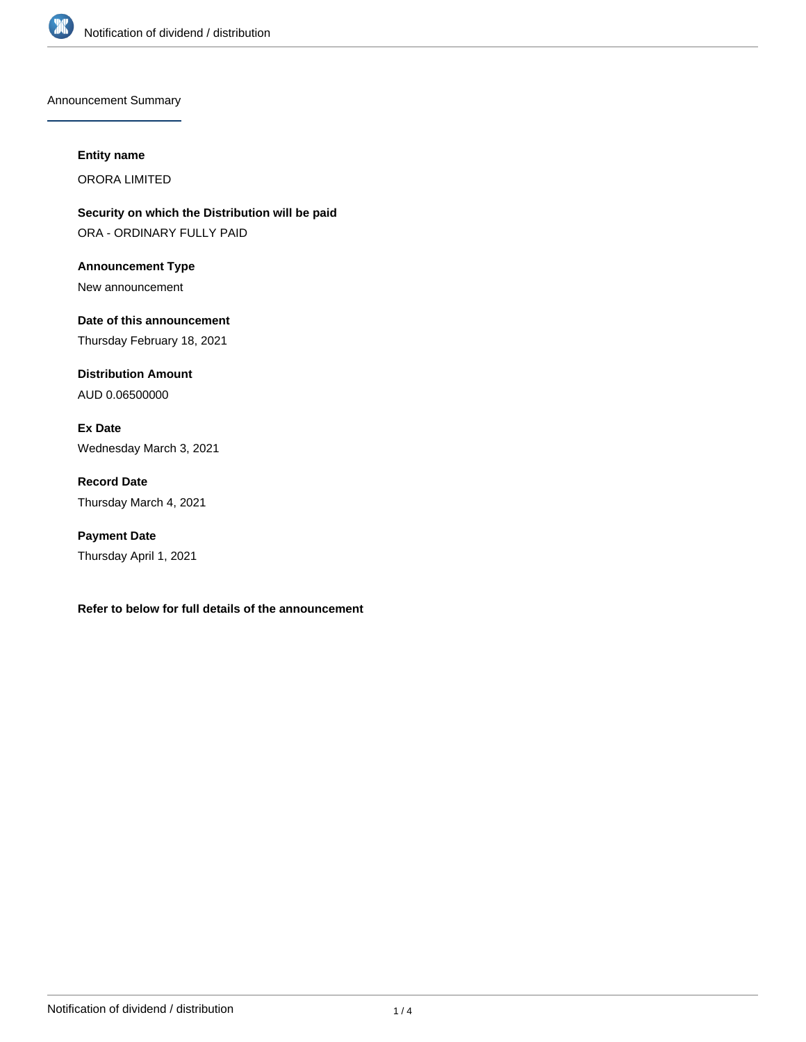

Announcement Summary

#### **Entity name**

ORORA LIMITED

**Security on which the Distribution will be paid** ORA - ORDINARY FULLY PAID

**Announcement Type** New announcement

**Date of this announcement** Thursday February 18, 2021

**Distribution Amount** AUD 0.06500000

**Ex Date** Wednesday March 3, 2021

**Record Date** Thursday March 4, 2021

**Payment Date** Thursday April 1, 2021

**Refer to below for full details of the announcement**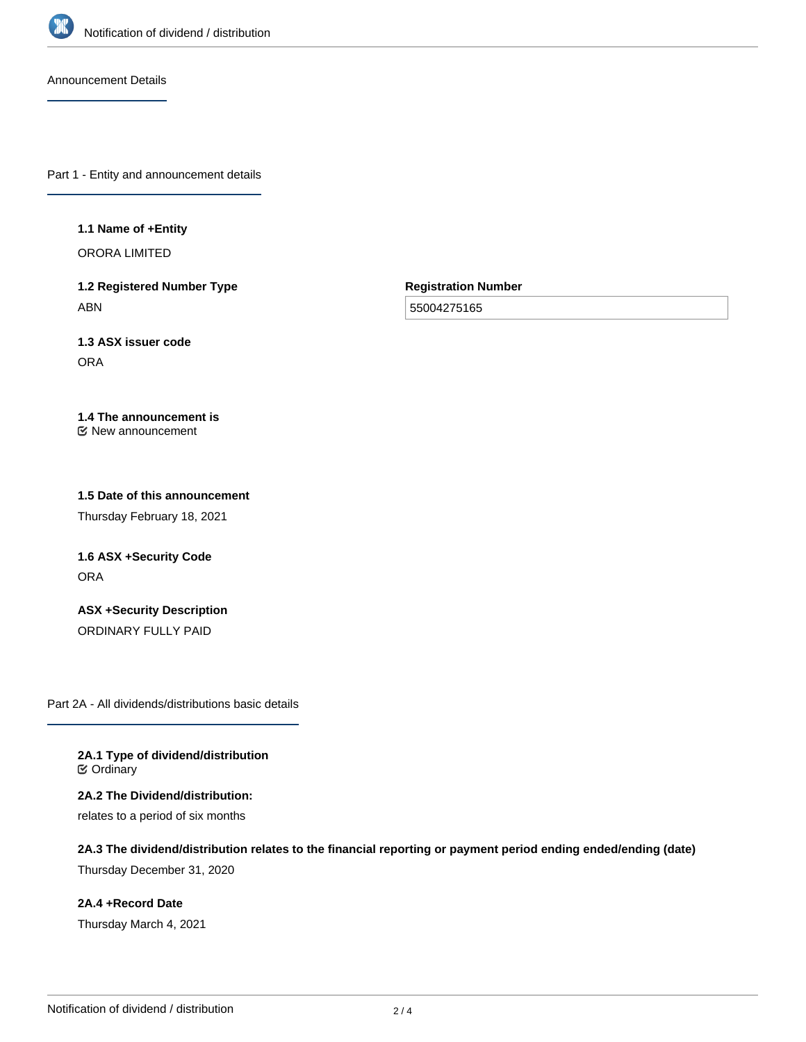

Announcement Details

Part 1 - Entity and announcement details

#### **1.1 Name of +Entity**

ORORA LIMITED

**1.2 Registered Number Type** ABN

**Registration Number**

55004275165

**1.3 ASX issuer code** ORA

#### **1.4 The announcement is** New announcement

### **1.5 Date of this announcement**

Thursday February 18, 2021

# **1.6 ASX +Security Code ORA**

**ASX +Security Description** ORDINARY FULLY PAID

Part 2A - All dividends/distributions basic details

**2A.1 Type of dividend/distribution ⊘** Ordinary

**2A.2 The Dividend/distribution:** relates to a period of six months

**2A.3 The dividend/distribution relates to the financial reporting or payment period ending ended/ending (date)**

Thursday December 31, 2020

**2A.4 +Record Date** Thursday March 4, 2021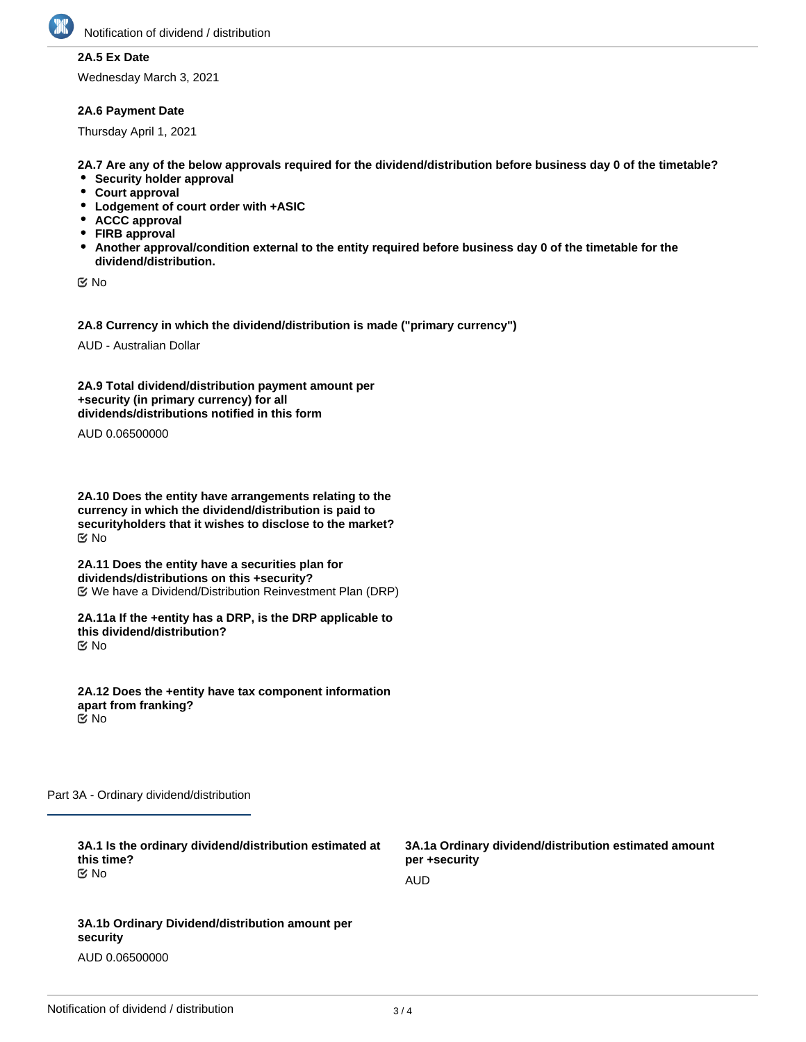

## **2A.5 Ex Date**

Wednesday March 3, 2021

### **2A.6 Payment Date**

Thursday April 1, 2021

**2A.7 Are any of the below approvals required for the dividend/distribution before business day 0 of the timetable?**

- **•** Security holder approval
- **Court approval**
- **Lodgement of court order with +ASIC**
- **ACCC approval**
- **FIRB approval**
- **Another approval/condition external to the entity required before business day 0 of the timetable for the dividend/distribution.**

No

**2A.8 Currency in which the dividend/distribution is made ("primary currency")**

AUD - Australian Dollar

**2A.9 Total dividend/distribution payment amount per +security (in primary currency) for all dividends/distributions notified in this form**

AUD 0.06500000

**2A.10 Does the entity have arrangements relating to the currency in which the dividend/distribution is paid to securityholders that it wishes to disclose to the market?** No

**2A.11 Does the entity have a securities plan for dividends/distributions on this +security?** We have a Dividend/Distribution Reinvestment Plan (DRP)

**2A.11a If the +entity has a DRP, is the DRP applicable to this dividend/distribution?** No

**2A.12 Does the +entity have tax component information apart from franking?** No

Part 3A - Ordinary dividend/distribution

| 3A.1 Is the ordinary dividend/distribution estimated at<br>this time?<br>় No | 3A.1a Ordinary dividend/distribution estimated amount<br>per +security |
|-------------------------------------------------------------------------------|------------------------------------------------------------------------|
|                                                                               | AUD                                                                    |
|                                                                               |                                                                        |
| 3A.1b Ordinary Dividend/distribution amount per<br>security                   |                                                                        |

AUD 0.06500000